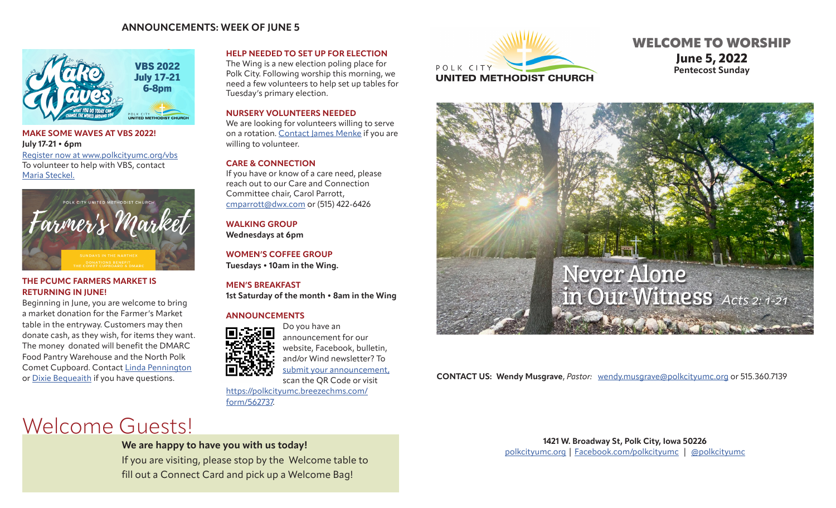### **ANNOUNCEMENTS: WEEK OF JUNE 5**



### **MAKE SOME WAVES AT VBS 2022! July 17-21 • 6pm** [Register now at www.polkcityumc.org/vbs](https://www.polkcityumc.org/vbs.html) To volunteer to help with VBS, contact Maria Steckel.



### **THE PCUMC FARMERS MARKET IS RETURNING IN JUNE!**

Beginning in June, you are welcome to bring a market donation for the Farmer's Market table in the entryway. Customers may then donate cash, as they wish, for items they want. The money donated will benefit the DMARC Food Pantry Warehouse and the North Polk Comet Cupboard. Contact [Linda Pennington](mailto:penningtonlinda30%40gmail.com?subject=PCUMC%20Farmer%27s%20Market) or [Dixie Bequeaith](mailto:dbequeai967%40msn.com?subject=PCUMC%20Farmer%27s%20Market) if you have questions.

### **HELP NEEDED TO SET UP FOR ELECTION**

The Wing is a new election poling place for Polk City. Following worship this morning, we need a few volunteers to help set up tables for Tuesday's primary election.

### **NURSERY VOLUNTEERS NEEDED**

We are looking for volunteers willing to serve on a rotation. [Contact](mailto:jemenke12%40gmail.com?subject=Nursery%20Volunteer) James Menke if you are willing to volunteer.

### **CARE & CONNECTION**

If you have or know of a care need, please reach out to our Care and Connection Committee chair, Carol Parrott, [cmparrott@dwx.com](mailto:cmparrott%40dwx.com?subject=Care%20Need) or (515) 422-6426

**WALKING GROUP Wednesdays at 6pm**

**WOMEN'S COFFEE GROUP Tuesdays • 10am in the Wing.** 

**MEN'S BREAKFAST 1st Saturday of the month • 8am in the Wing** 

Do you have an

### **ANNOUNCEMENTS**



announcement for our website, Facebook, bulletin,

and/or Wind newsletter? To

[submit your announcement](https://polkcityumc.breezechms.com/form/562737),

scan the QR Code or visit [https://polkcityumc.breezechms.com/](https://polkcityumc.breezechms.com/form/562737) [form/562737.](https://polkcityumc.breezechms.com/form/562737)

# Welcome Guests!

## **We are happy to have you with us today!**

If you are visiting, please stop by the Welcome table to fill out a Connect Card and pick up a Welcome Bag!



# WELCOME TO WORSHIP **June 5, 2022 Pentecost Sunday**



**CONTACT US: Wendy Musgrave**, *Pastor:* [wendy.musgrave@polkcityumc.org](mailto:wendy.musgrave%40polkcityumc.org?subject=) or 515.360.7139

**1421 W. Broadway St, Polk City, Iowa 50226** [polkcityumc.org](http://polkcityumc.org) | [Facebook.com/polkcityumc](http://Facebook.com/polkcityumc) | [@polkcityumc](https://www.instagram.com/polkcityyouth/)